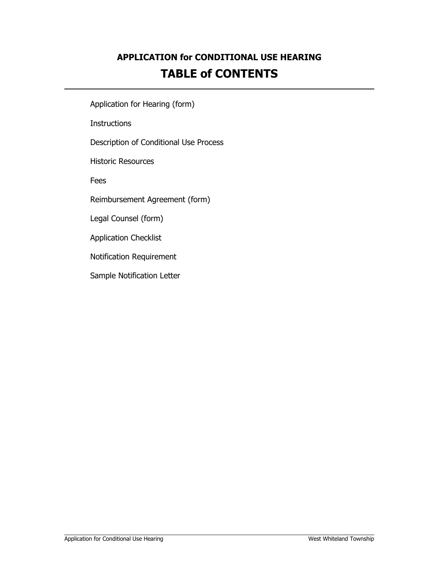### **APPLICATION for CONDITIONAL USE HEARING TABLE of CONTENTS**

Application for Hearing (form)

**Instructions** 

Description of Conditional Use Process

Historic Resources

Fees

Reimbursement Agreement (form)

Legal Counsel (form)

Application Checklist

Notification Requirement

Sample Notification Letter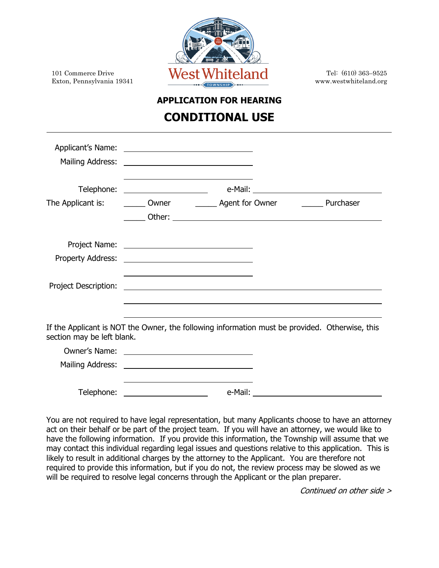

# **APPLICATION FOR HEARING**

#### **CONDITIONAL USE**

| The Applicant is:                                                                                                            |                                                                                                                                                                                                                                      |  |  |  |  |
|------------------------------------------------------------------------------------------------------------------------------|--------------------------------------------------------------------------------------------------------------------------------------------------------------------------------------------------------------------------------------|--|--|--|--|
|                                                                                                                              |                                                                                                                                                                                                                                      |  |  |  |  |
|                                                                                                                              |                                                                                                                                                                                                                                      |  |  |  |  |
| Project Description:                                                                                                         | <u> 1989 - Johann Stein, mars et al. (b. 1989)</u>                                                                                                                                                                                   |  |  |  |  |
| If the Applicant is NOT the Owner, the following information must be provided. Otherwise, this<br>section may be left blank. |                                                                                                                                                                                                                                      |  |  |  |  |
|                                                                                                                              | Owner's Name: <u>contract the contract of the contract of the contract of the contract of the contract of the contract of the contract of the contract of the contract of the contract of the contract of the contract of the co</u> |  |  |  |  |
|                                                                                                                              |                                                                                                                                                                                                                                      |  |  |  |  |
| Telephone:                                                                                                                   | <u> 1980 - Johann Barbara, martin a</u>                                                                                                                                                                                              |  |  |  |  |

You are not required to have legal representation, but many Applicants choose to have an attorney act on their behalf or be part of the project team. If you will have an attorney, we would like to have the following information. If you provide this information, the Township will assume that we may contact this individual regarding legal issues and questions relative to this application. This is likely to result in additional charges by the attorney to the Applicant. You are therefore not required to provide this information, but if you do not, the review process may be slowed as we will be required to resolve legal concerns through the Applicant or the plan preparer.

Continued on other side >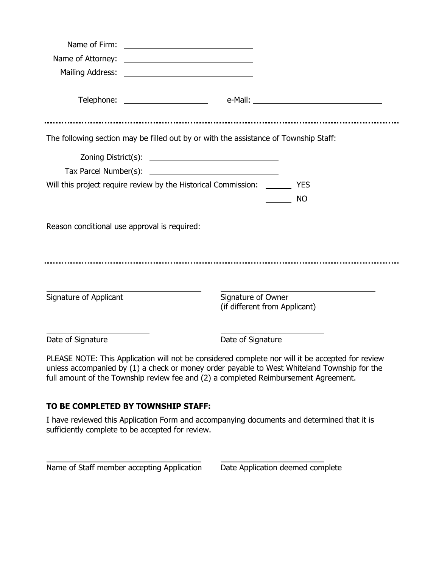|                        |                                                                       | The following section may be filled out by or with the assistance of Township Staff: |  |
|------------------------|-----------------------------------------------------------------------|--------------------------------------------------------------------------------------|--|
|                        |                                                                       |                                                                                      |  |
|                        |                                                                       |                                                                                      |  |
|                        | Will this project require review by the Historical Commission: ______ | <b>YES</b>                                                                           |  |
|                        |                                                                       | <b>NO</b>                                                                            |  |
|                        |                                                                       | Reason conditional use approval is required: ___________________________________     |  |
|                        |                                                                       |                                                                                      |  |
| Signature of Applicant |                                                                       | Signature of Owner<br>(if different from Applicant)                                  |  |
| Date of Signature      |                                                                       | Date of Signature                                                                    |  |

PLEASE NOTE: This Application will not be considered complete nor will it be accepted for review unless accompanied by (1) a check or money order payable to West Whiteland Township for the full amount of the Township review fee and (2) a completed Reimbursement Agreement.

#### **TO BE COMPLETED BY TOWNSHIP STAFF:**

I have reviewed this Application Form and accompanying documents and determined that it is sufficiently complete to be accepted for review.

Name of Staff member accepting Application Date Application deemed complete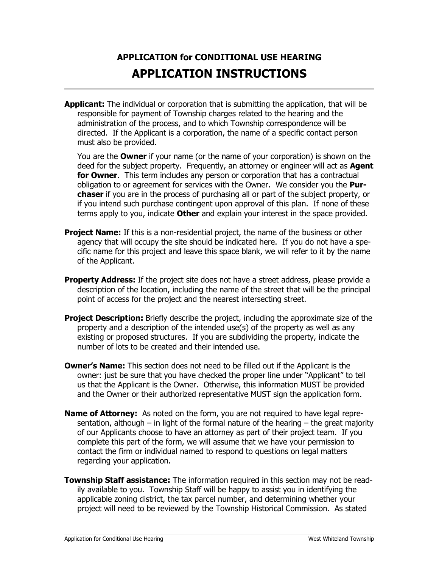### **APPLICATION for CONDITIONAL USE HEARING APPLICATION INSTRUCTIONS**

**Applicant:** The individual or corporation that is submitting the application, that will be responsible for payment of Township charges related to the hearing and the administration of the process, and to which Township correspondence will be directed. If the Applicant is a corporation, the name of a specific contact person must also be provided.

You are the **Owner** if your name (or the name of your corporation) is shown on the deed for the subject property. Frequently, an attorney or engineer will act as **Agent for Owner**. This term includes any person or corporation that has a contractual obligation to or agreement for services with the Owner. We consider you the **Purchaser** if you are in the process of purchasing all or part of the subject property, or if you intend such purchase contingent upon approval of this plan. If none of these terms apply to you, indicate **Other** and explain your interest in the space provided.

- **Project Name:** If this is a non-residential project, the name of the business or other agency that will occupy the site should be indicated here. If you do not have a specific name for this project and leave this space blank, we will refer to it by the name of the Applicant.
- **Property Address:** If the project site does not have a street address, please provide a description of the location, including the name of the street that will be the principal point of access for the project and the nearest intersecting street.
- **Project Description:** Briefly describe the project, including the approximate size of the property and a description of the intended use(s) of the property as well as any existing or proposed structures. If you are subdividing the property, indicate the number of lots to be created and their intended use.
- **Owner's Name:** This section does not need to be filled out if the Applicant is the owner: just be sure that you have checked the proper line under "Applicant" to tell us that the Applicant is the Owner. Otherwise, this information MUST be provided and the Owner or their authorized representative MUST sign the application form.
- **Name of Attorney:** As noted on the form, you are not required to have legal representation, although – in light of the formal nature of the hearing – the great majority of our Applicants choose to have an attorney as part of their project team. If you complete this part of the form, we will assume that we have your permission to contact the firm or individual named to respond to questions on legal matters regarding your application.
- **Township Staff assistance:** The information required in this section may not be readily available to you. Township Staff will be happy to assist you in identifying the applicable zoning district, the tax parcel number, and determining whether your project will need to be reviewed by the Township Historical Commission. As stated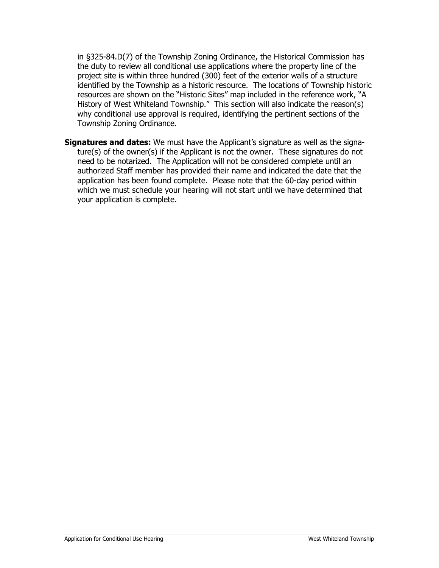in §325-84.D(7) of the Township Zoning Ordinance, the Historical Commission has the duty to review all conditional use applications where the property line of the project site is within three hundred (300) feet of the exterior walls of a structure identified by the Township as a historic resource. The locations of Township historic resources are shown on the "Historic Sites" map included in the reference work, "A History of West Whiteland Township." This section will also indicate the reason(s) why conditional use approval is required, identifying the pertinent sections of the Township Zoning Ordinance.

**Signatures and dates:** We must have the Applicant's signature as well as the signature(s) of the owner(s) if the Applicant is not the owner. These signatures do not need to be notarized. The Application will not be considered complete until an authorized Staff member has provided their name and indicated the date that the application has been found complete. Please note that the 60-day period within which we must schedule your hearing will not start until we have determined that your application is complete.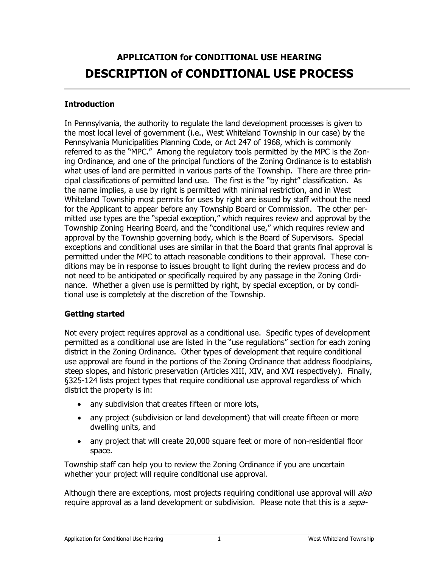### **APPLICATION for CONDITIONAL USE HEARING DESCRIPTION of CONDITIONAL USE PROCESS**

#### **Introduction**

In Pennsylvania, the authority to regulate the land development processes is given to the most local level of government (i.e., West Whiteland Township in our case) by the Pennsylvania Municipalities Planning Code, or Act 247 of 1968, which is commonly referred to as the "MPC." Among the regulatory tools permitted by the MPC is the Zoning Ordinance, and one of the principal functions of the Zoning Ordinance is to establish what uses of land are permitted in various parts of the Township. There are three principal classifications of permitted land use. The first is the "by right" classification. As the name implies, a use by right is permitted with minimal restriction, and in West Whiteland Township most permits for uses by right are issued by staff without the need for the Applicant to appear before any Township Board or Commission. The other permitted use types are the "special exception," which requires review and approval by the Township Zoning Hearing Board, and the "conditional use," which requires review and approval by the Township governing body, which is the Board of Supervisors. Special exceptions and conditional uses are similar in that the Board that grants final approval is permitted under the MPC to attach reasonable conditions to their approval. These conditions may be in response to issues brought to light during the review process and do not need to be anticipated or specifically required by any passage in the Zoning Ordinance. Whether a given use is permitted by right, by special exception, or by conditional use is completely at the discretion of the Township.

#### **Getting started**

Not every project requires approval as a conditional use. Specific types of development permitted as a conditional use are listed in the "use regulations" section for each zoning district in the Zoning Ordinance. Other types of development that require conditional use approval are found in the portions of the Zoning Ordinance that address floodplains, steep slopes, and historic preservation (Articles XIII, XIV, and XVI respectively). Finally, §325-124 lists project types that require conditional use approval regardless of which district the property is in:

- any subdivision that creates fifteen or more lots,
- any project (subdivision or land development) that will create fifteen or more dwelling units, and
- any project that will create 20,000 square feet or more of non-residential floor space.

Township staff can help you to review the Zoning Ordinance if you are uncertain whether your project will require conditional use approval.

Although there are exceptions, most projects requiring conditional use approval will also require approval as a land development or subdivision. Please note that this is a sepa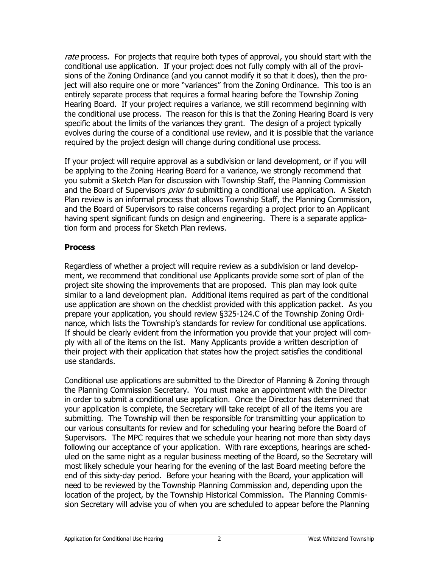rate process. For projects that require both types of approval, you should start with the conditional use application. If your project does not fully comply with all of the provisions of the Zoning Ordinance (and you cannot modify it so that it does), then the project will also require one or more "variances" from the Zoning Ordinance. This too is an entirely separate process that requires a formal hearing before the Township Zoning Hearing Board. If your project requires a variance, we still recommend beginning with the conditional use process. The reason for this is that the Zoning Hearing Board is very specific about the limits of the variances they grant. The design of a project typically evolves during the course of a conditional use review, and it is possible that the variance required by the project design will change during conditional use process.

If your project will require approval as a subdivision or land development, or if you will be applying to the Zoning Hearing Board for a variance, we strongly recommend that you submit a Sketch Plan for discussion with Township Staff, the Planning Commission and the Board of Supervisors *prior to* submitting a conditional use application. A Sketch Plan review is an informal process that allows Township Staff, the Planning Commission, and the Board of Supervisors to raise concerns regarding a project prior to an Applicant having spent significant funds on design and engineering. There is a separate application form and process for Sketch Plan reviews.

#### **Process**

Regardless of whether a project will require review as a subdivision or land development, we recommend that conditional use Applicants provide some sort of plan of the project site showing the improvements that are proposed. This plan may look quite similar to a land development plan. Additional items required as part of the conditional use application are shown on the checklist provided with this application packet. As you prepare your application, you should review §325-124.C of the Township Zoning Ordinance, which lists the Township's standards for review for conditional use applications. If should be clearly evident from the information you provide that your project will comply with all of the items on the list. Many Applicants provide a written description of their project with their application that states how the project satisfies the conditional use standards.

Conditional use applications are submitted to the Director of Planning & Zoning through the Planning Commission Secretary. You must make an appointment with the Director in order to submit a conditional use application. Once the Director has determined that your application is complete, the Secretary will take receipt of all of the items you are submitting. The Township will then be responsible for transmitting your application to our various consultants for review and for scheduling your hearing before the Board of Supervisors. The MPC requires that we schedule your hearing not more than sixty days following our acceptance of your application. With rare exceptions, hearings are scheduled on the same night as a regular business meeting of the Board, so the Secretary will most likely schedule your hearing for the evening of the last Board meeting before the end of this sixty-day period. Before your hearing with the Board, your application will need to be reviewed by the Township Planning Commission and, depending upon the location of the project, by the Township Historical Commission. The Planning Commission Secretary will advise you of when you are scheduled to appear before the Planning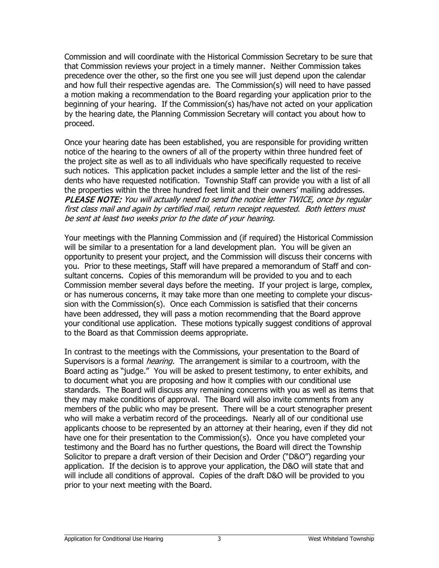Commission and will coordinate with the Historical Commission Secretary to be sure that that Commission reviews your project in a timely manner. Neither Commission takes precedence over the other, so the first one you see will just depend upon the calendar and how full their respective agendas are. The Commission(s) will need to have passed a motion making a recommendation to the Board regarding your application prior to the beginning of your hearing. If the Commission(s) has/have not acted on your application by the hearing date, the Planning Commission Secretary will contact you about how to proceed.

Once your hearing date has been established, you are responsible for providing written notice of the hearing to the owners of all of the property within three hundred feet of the project site as well as to all individuals who have specifically requested to receive such notices. This application packet includes a sample letter and the list of the residents who have requested notification. Township Staff can provide you with a list of all the properties within the three hundred feet limit and their owners' mailing addresses. PLEASE NOTE: You will actually need to send the notice letter TWICE, once by regular first class mail and again by certified mail, return receipt requested. Both letters must be sent at least two weeks prior to the date of your hearing.

Your meetings with the Planning Commission and (if required) the Historical Commission will be similar to a presentation for a land development plan. You will be given an opportunity to present your project, and the Commission will discuss their concerns with you. Prior to these meetings, Staff will have prepared a memorandum of Staff and consultant concerns. Copies of this memorandum will be provided to you and to each Commission member several days before the meeting. If your project is large, complex, or has numerous concerns, it may take more than one meeting to complete your discussion with the Commission(s). Once each Commission is satisfied that their concerns have been addressed, they will pass a motion recommending that the Board approve your conditional use application. These motions typically suggest conditions of approval to the Board as that Commission deems appropriate.

In contrast to the meetings with the Commissions, your presentation to the Board of Supervisors is a formal *hearing.* The arrangement is similar to a courtroom, with the Board acting as "judge." You will be asked to present testimony, to enter exhibits, and to document what you are proposing and how it complies with our conditional use standards. The Board will discuss any remaining concerns with you as well as items that they may make conditions of approval. The Board will also invite comments from any members of the public who may be present. There will be a court stenographer present who will make a verbatim record of the proceedings. Nearly all of our conditional use applicants choose to be represented by an attorney at their hearing, even if they did not have one for their presentation to the Commission(s). Once you have completed your testimony and the Board has no further questions, the Board will direct the Township Solicitor to prepare a draft version of their Decision and Order ("D&O") regarding your application. If the decision is to approve your application, the D&O will state that and will include all conditions of approval. Copies of the draft D&O will be provided to you prior to your next meeting with the Board.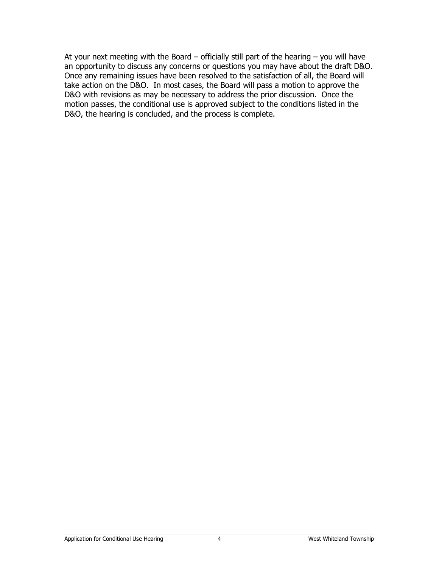At your next meeting with the Board  $-$  officially still part of the hearing  $-$  you will have an opportunity to discuss any concerns or questions you may have about the draft D&O. Once any remaining issues have been resolved to the satisfaction of all, the Board will take action on the D&O. In most cases, the Board will pass a motion to approve the D&O with revisions as may be necessary to address the prior discussion. Once the motion passes, the conditional use is approved subject to the conditions listed in the D&O, the hearing is concluded, and the process is complete.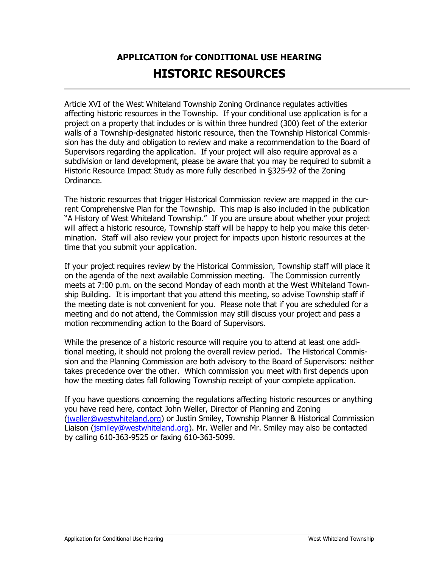## **APPLICATION for CONDITIONAL USE HEARING HISTORIC RESOURCES**

Article XVI of the West Whiteland Township Zoning Ordinance regulates activities affecting historic resources in the Township. If your conditional use application is for a project on a property that includes or is within three hundred (300) feet of the exterior walls of a Township-designated historic resource, then the Township Historical Commission has the duty and obligation to review and make a recommendation to the Board of Supervisors regarding the application. If your project will also require approval as a subdivision or land development, please be aware that you may be required to submit a Historic Resource Impact Study as more fully described in §325-92 of the Zoning Ordinance.

The historic resources that trigger Historical Commission review are mapped in the current Comprehensive Plan for the Township. This map is also included in the publication "A History of West Whiteland Township." If you are unsure about whether your project will affect a historic resource, Township staff will be happy to help you make this determination. Staff will also review your project for impacts upon historic resources at the time that you submit your application.

If your project requires review by the Historical Commission, Township staff will place it on the agenda of the next available Commission meeting. The Commission currently meets at 7:00 p.m. on the second Monday of each month at the West Whiteland Township Building. It is important that you attend this meeting, so advise Township staff if the meeting date is not convenient for you. Please note that if you are scheduled for a meeting and do not attend, the Commission may still discuss your project and pass a motion recommending action to the Board of Supervisors.

While the presence of a historic resource will require you to attend at least one additional meeting, it should not prolong the overall review period. The Historical Commission and the Planning Commission are both advisory to the Board of Supervisors: neither takes precedence over the other. Which commission you meet with first depends upon how the meeting dates fall following Township receipt of your complete application.

If you have questions concerning the regulations affecting historic resources or anything you have read here, contact John Weller, Director of Planning and Zoning [\(jweller@westwhiteland.org\)](mailto:jweller@westwhiteland.org) or Justin Smiley, Township Planner & Historical Commission Liaison [\(jsmiley@westwhiteland.org\)](mailto:jsmiley@westwhiteland.org). Mr. Weller and Mr. Smiley may also be contacted by calling 610-363-9525 or faxing 610-363-5099.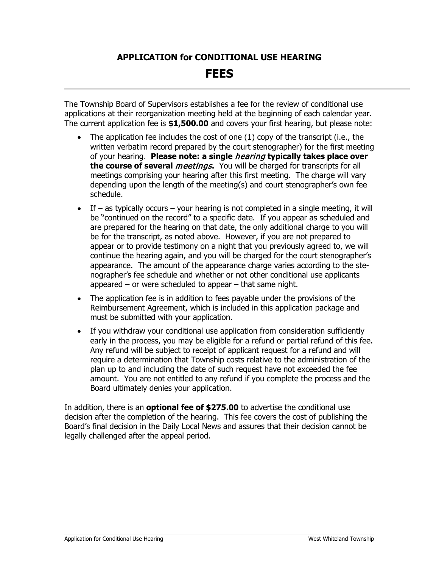# **APPLICATION for CONDITIONAL USE HEARING FEES**

The Township Board of Supervisors establishes a fee for the review of conditional use applications at their reorganization meeting held at the beginning of each calendar year. The current application fee is **\$1,500.00** and covers your first hearing, but please note:

- The application fee includes the cost of one  $(1)$  copy of the transcript (i.e., the written verbatim record prepared by the court stenographer) for the first meeting of your hearing. **Please note: a single** hearing **typically takes place over the course of several** *meetings***.** You will be charged for transcripts for all meetings comprising your hearing after this first meeting. The charge will vary depending upon the length of the meeting(s) and court stenographer's own fee schedule.
- If as typically occurs your hearing is not completed in a single meeting, it will be "continued on the record" to a specific date. If you appear as scheduled and are prepared for the hearing on that date, the only additional charge to you will be for the transcript, as noted above. However, if you are not prepared to appear or to provide testimony on a night that you previously agreed to, we will continue the hearing again, and you will be charged for the court stenographer's appearance. The amount of the appearance charge varies according to the stenographer's fee schedule and whether or not other conditional use applicants appeared – or were scheduled to appear – that same night.
- The application fee is in addition to fees payable under the provisions of the Reimbursement Agreement, which is included in this application package and must be submitted with your application.
- If you withdraw your conditional use application from consideration sufficiently early in the process, you may be eligible for a refund or partial refund of this fee. Any refund will be subject to receipt of applicant request for a refund and will require a determination that Township costs relative to the administration of the plan up to and including the date of such request have not exceeded the fee amount. You are not entitled to any refund if you complete the process and the Board ultimately denies your application.

In addition, there is an **optional fee of \$275.00** to advertise the conditional use decision after the completion of the hearing. This fee covers the cost of publishing the Board's final decision in the Daily Local News and assures that their decision cannot be legally challenged after the appeal period.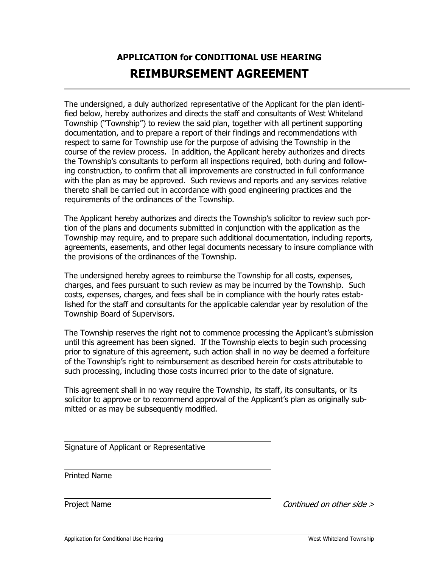### **APPLICATION for CONDITIONAL USE HEARING REIMBURSEMENT AGREEMENT**

The undersigned, a duly authorized representative of the Applicant for the plan identified below, hereby authorizes and directs the staff and consultants of West Whiteland Township ("Township") to review the said plan, together with all pertinent supporting documentation, and to prepare a report of their findings and recommendations with respect to same for Township use for the purpose of advising the Township in the course of the review process. In addition, the Applicant hereby authorizes and directs the Township's consultants to perform all inspections required, both during and following construction, to confirm that all improvements are constructed in full conformance with the plan as may be approved. Such reviews and reports and any services relative thereto shall be carried out in accordance with good engineering practices and the requirements of the ordinances of the Township.

The Applicant hereby authorizes and directs the Township's solicitor to review such portion of the plans and documents submitted in conjunction with the application as the Township may require, and to prepare such additional documentation, including reports, agreements, easements, and other legal documents necessary to insure compliance with the provisions of the ordinances of the Township.

The undersigned hereby agrees to reimburse the Township for all costs, expenses, charges, and fees pursuant to such review as may be incurred by the Township. Such costs, expenses, charges, and fees shall be in compliance with the hourly rates established for the staff and consultants for the applicable calendar year by resolution of the Township Board of Supervisors.

The Township reserves the right not to commence processing the Applicant's submission until this agreement has been signed. If the Township elects to begin such processing prior to signature of this agreement, such action shall in no way be deemed a forfeiture of the Township's right to reimbursement as described herein for costs attributable to such processing, including those costs incurred prior to the date of signature.

This agreement shall in no way require the Township, its staff, its consultants, or its solicitor to approve or to recommend approval of the Applicant's plan as originally submitted or as may be subsequently modified.

Signature of Applicant or Representative

Printed Name

Project Name Continued on other side >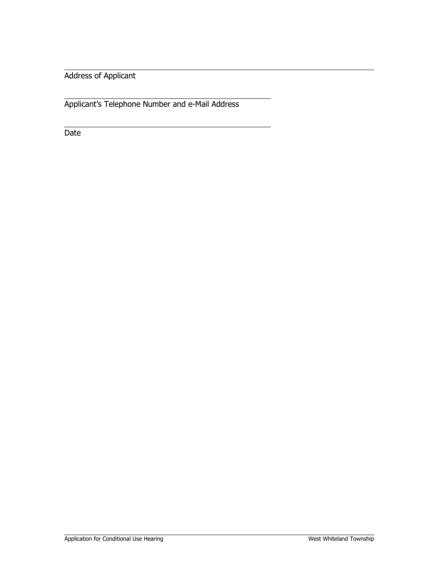Address of Applicant

Applicant's Telephone Number and e-Mail Address

Date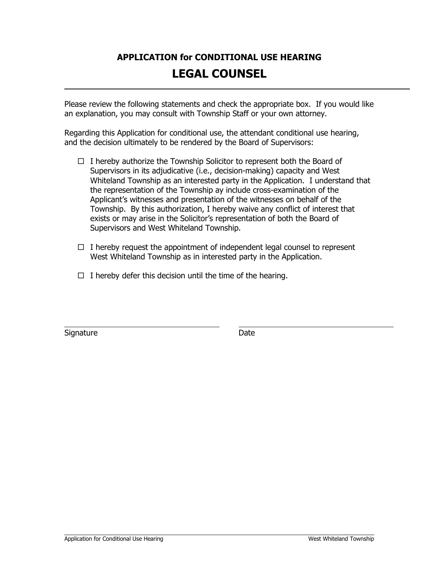### **APPLICATION for CONDITIONAL USE HEARING LEGAL COUNSEL**

Please review the following statements and check the appropriate box. If you would like an explanation, you may consult with Township Staff or your own attorney.

Regarding this Application for conditional use, the attendant conditional use hearing, and the decision ultimately to be rendered by the Board of Supervisors:

- $\Box$  I hereby authorize the Township Solicitor to represent both the Board of Supervisors in its adjudicative (i.e., decision-making) capacity and West Whiteland Township as an interested party in the Application. I understand that the representation of the Township ay include cross-examination of the Applicant's witnesses and presentation of the witnesses on behalf of the Township. By this authorization, I hereby waive any conflict of interest that exists or may arise in the Solicitor's representation of both the Board of Supervisors and West Whiteland Township.
- $\Box$  I hereby request the appointment of independent legal counsel to represent West Whiteland Township as in interested party in the Application.
- $\Box$  I hereby defer this decision until the time of the hearing.

Signature **Date**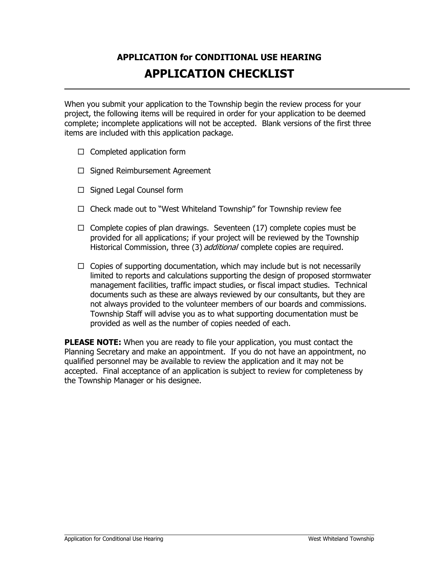### **APPLICATION for CONDITIONAL USE HEARING APPLICATION CHECKLIST**

When you submit your application to the Township begin the review process for your project, the following items will be required in order for your application to be deemed complete; incomplete applications will not be accepted. Blank versions of the first three items are included with this application package.

- $\Box$  Completed application form
- $\Box$  Signed Reimbursement Agreement
- $\Box$  Signed Legal Counsel form
- $\Box$  Check made out to "West Whiteland Township" for Township review fee
- $\Box$  Complete copies of plan drawings. Seventeen (17) complete copies must be provided for all applications; if your project will be reviewed by the Township Historical Commission, three (3) *additional* complete copies are required.
- $\Box$  Copies of supporting documentation, which may include but is not necessarily limited to reports and calculations supporting the design of proposed stormwater management facilities, traffic impact studies, or fiscal impact studies. Technical documents such as these are always reviewed by our consultants, but they are not always provided to the volunteer members of our boards and commissions. Township Staff will advise you as to what supporting documentation must be provided as well as the number of copies needed of each.

**PLEASE NOTE:** When you are ready to file your application, you must contact the Planning Secretary and make an appointment. If you do not have an appointment, no qualified personnel may be available to review the application and it may not be accepted. Final acceptance of an application is subject to review for completeness by the Township Manager or his designee.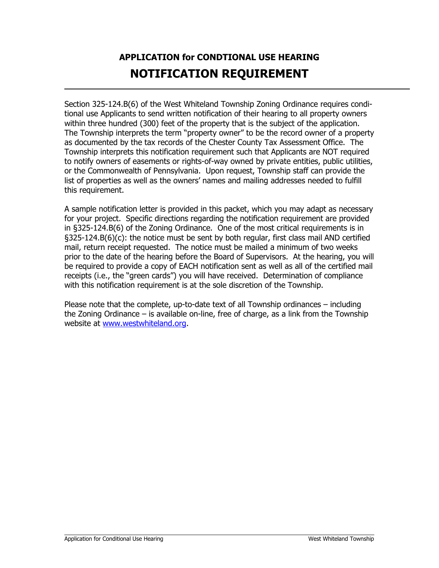## **APPLICATION for CONDTIONAL USE HEARING NOTIFICATION REQUIREMENT**

Section 325-124.B(6) of the West Whiteland Township Zoning Ordinance requires conditional use Applicants to send written notification of their hearing to all property owners within three hundred (300) feet of the property that is the subject of the application. The Township interprets the term "property owner" to be the record owner of a property as documented by the tax records of the Chester County Tax Assessment Office. The Township interprets this notification requirement such that Applicants are NOT required to notify owners of easements or rights-of-way owned by private entities, public utilities, or the Commonwealth of Pennsylvania. Upon request, Township staff can provide the list of properties as well as the owners' names and mailing addresses needed to fulfill this requirement.

A sample notification letter is provided in this packet, which you may adapt as necessary for your project. Specific directions regarding the notification requirement are provided in §325-124.B(6) of the Zoning Ordinance. One of the most critical requirements is in §325-124.B(6)(c): the notice must be sent by both regular, first class mail AND certified mail, return receipt requested. The notice must be mailed a minimum of two weeks prior to the date of the hearing before the Board of Supervisors. At the hearing, you will be required to provide a copy of EACH notification sent as well as all of the certified mail receipts (i.e., the "green cards") you will have received. Determination of compliance with this notification requirement is at the sole discretion of the Township.

Please note that the complete, up-to-date text of all Township ordinances – including the Zoning Ordinance – is available on-line, free of charge, as a link from the Township website at [www.westwhiteland.org.](http://www.westwhiteland.org/)